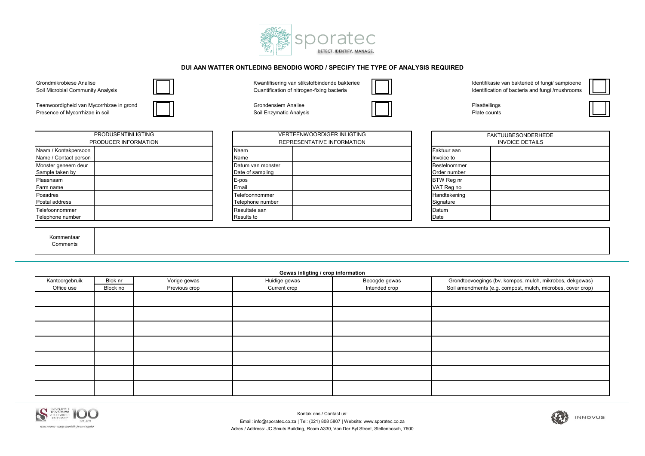

## **DUI AAN WATTER ONTLEDING BENODIG WORD / SPECIFY THE TYPE OF ANALYSIS REQUIRED**



Teenwoordigheid van Mycorrhizae in grond Campus Communication of Grondensiem Analise Communication Communication<br>Presence of Mycorrhizae in soil Campus Communication Communication Soil Enzymatic Analysis Communication Comm

Presence of Mycorrhizae in soil **Solution Contract Contract Contract Contract Contract Contract Contract Contract Contract Contract Contract Contract Contract Contract Plate counts Plate counts** 

| <b>PRODUSENTINLIGTING</b><br>PRODUCER INFORMATION |  |  |  |  |
|---------------------------------------------------|--|--|--|--|
| Naam / Kontakpersoon<br>Name / Contact person     |  |  |  |  |
| Monster geneem deur<br>Sample taken by            |  |  |  |  |
| Plaasnaam<br>Farm name                            |  |  |  |  |
| Posadres<br>Postal address                        |  |  |  |  |
| Telefoonnommer<br>Telephone number                |  |  |  |  |

| <b>VERTEENWOORDIGER INLIGTING</b><br>REPRESENTATIVE INFORMATION |  |  |  |  |
|-----------------------------------------------------------------|--|--|--|--|
| Naam<br>Name                                                    |  |  |  |  |
| Datum van monster<br>Date of sampling                           |  |  |  |  |
| E-pos<br>Email                                                  |  |  |  |  |
| Telefoonnommer<br>Telephone number                              |  |  |  |  |
| Resultate aan<br><b>Results to</b>                              |  |  |  |  |

| <b>FAKTUUBESONDERHEDE</b><br><b>INVOICE DETAILS</b> |  |  |  |  |  |
|-----------------------------------------------------|--|--|--|--|--|
| Faktuur aan<br>Invoice to                           |  |  |  |  |  |
| Bestelnommer<br>Order number                        |  |  |  |  |  |
| BTW Reg nr<br>VAT Reg no                            |  |  |  |  |  |
| Handtekening<br>Signature                           |  |  |  |  |  |
| Datum<br>Date                                       |  |  |  |  |  |

 Kommentaar Comments

| Gewas inligting / crop information |          |               |               |               |                                                             |  |  |
|------------------------------------|----------|---------------|---------------|---------------|-------------------------------------------------------------|--|--|
| Kantoorgebruik                     | Blok nr  | Vorige gewas  | Huidige gewas | Beoogde gewas | Grondtoevoegings (bv. kompos, mulch, mikrobes, dekgewas)    |  |  |
| Office use                         | Block no | Previous crop | Current crop  | Intended crop | Soil amendments (e.g. compost, mulch, microbes, cover crop) |  |  |
|                                    |          |               |               |               |                                                             |  |  |
|                                    |          |               |               |               |                                                             |  |  |
|                                    |          |               |               |               |                                                             |  |  |
|                                    |          |               |               |               |                                                             |  |  |
|                                    |          |               |               |               |                                                             |  |  |
|                                    |          |               |               |               |                                                             |  |  |
|                                    |          |               |               |               |                                                             |  |  |
|                                    |          |               |               |               |                                                             |  |  |
|                                    |          |               |               |               |                                                             |  |  |
|                                    |          |               |               |               |                                                             |  |  |
|                                    |          |               |               |               |                                                             |  |  |
|                                    |          |               |               |               |                                                             |  |  |
|                                    |          |               |               |               |                                                             |  |  |
|                                    |          |               |               |               |                                                             |  |  |